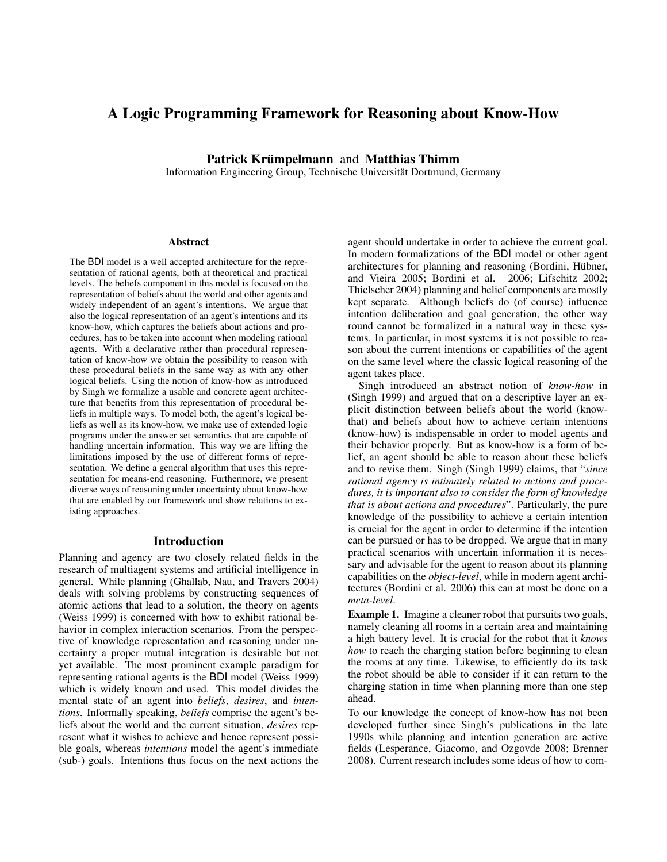# A Logic Programming Framework for Reasoning about Know-How

Patrick Krümpelmann and Matthias Thimm

Information Engineering Group, Technische Universitat Dortmund, Germany ¨

#### **Abstract**

The BDI model is a well accepted architecture for the representation of rational agents, both at theoretical and practical levels. The beliefs component in this model is focused on the representation of beliefs about the world and other agents and widely independent of an agent's intentions. We argue that also the logical representation of an agent's intentions and its know-how, which captures the beliefs about actions and procedures, has to be taken into account when modeling rational agents. With a declarative rather than procedural representation of know-how we obtain the possibility to reason with these procedural beliefs in the same way as with any other logical beliefs. Using the notion of know-how as introduced by Singh we formalize a usable and concrete agent architecture that benefits from this representation of procedural beliefs in multiple ways. To model both, the agent's logical beliefs as well as its know-how, we make use of extended logic programs under the answer set semantics that are capable of handling uncertain information. This way we are lifting the limitations imposed by the use of different forms of representation. We define a general algorithm that uses this representation for means-end reasoning. Furthermore, we present diverse ways of reasoning under uncertainty about know-how that are enabled by our framework and show relations to existing approaches.

# Introduction

Planning and agency are two closely related fields in the research of multiagent systems and artificial intelligence in general. While planning (Ghallab, Nau, and Travers 2004) deals with solving problems by constructing sequences of atomic actions that lead to a solution, the theory on agents (Weiss 1999) is concerned with how to exhibit rational behavior in complex interaction scenarios. From the perspective of knowledge representation and reasoning under uncertainty a proper mutual integration is desirable but not yet available. The most prominent example paradigm for representing rational agents is the BDI model (Weiss 1999) which is widely known and used. This model divides the mental state of an agent into *beliefs*, *desires*, and *intentions*. Informally speaking, *beliefs* comprise the agent's beliefs about the world and the current situation, *desires* represent what it wishes to achieve and hence represent possible goals, whereas *intentions* model the agent's immediate (sub-) goals. Intentions thus focus on the next actions the

agent should undertake in order to achieve the current goal. In modern formalizations of the BDI model or other agent architectures for planning and reasoning (Bordini, Hübner, and Vieira 2005; Bordini et al. 2006; Lifschitz 2002; Thielscher 2004) planning and belief components are mostly kept separate. Although beliefs do (of course) influence intention deliberation and goal generation, the other way round cannot be formalized in a natural way in these systems. In particular, in most systems it is not possible to reason about the current intentions or capabilities of the agent on the same level where the classic logical reasoning of the agent takes place.

Singh introduced an abstract notion of *know-how* in (Singh 1999) and argued that on a descriptive layer an explicit distinction between beliefs about the world (knowthat) and beliefs about how to achieve certain intentions (know-how) is indispensable in order to model agents and their behavior properly. But as know-how is a form of belief, an agent should be able to reason about these beliefs and to revise them. Singh (Singh 1999) claims, that "*since rational agency is intimately related to actions and procedures, it is important also to consider the form of knowledge that is about actions and procedures*". Particularly, the pure knowledge of the possibility to achieve a certain intention is crucial for the agent in order to determine if the intention can be pursued or has to be dropped. We argue that in many practical scenarios with uncertain information it is necessary and advisable for the agent to reason about its planning capabilities on the *object-level*, while in modern agent architectures (Bordini et al. 2006) this can at most be done on a *meta-level*.

Example 1. Imagine a cleaner robot that pursuits two goals, namely cleaning all rooms in a certain area and maintaining a high battery level. It is crucial for the robot that it *knows how* to reach the charging station before beginning to clean the rooms at any time. Likewise, to efficiently do its task the robot should be able to consider if it can return to the charging station in time when planning more than one step ahead.

To our knowledge the concept of know-how has not been developed further since Singh's publications in the late 1990s while planning and intention generation are active fields (Lesperance, Giacomo, and Ozgovde 2008; Brenner 2008). Current research includes some ideas of how to com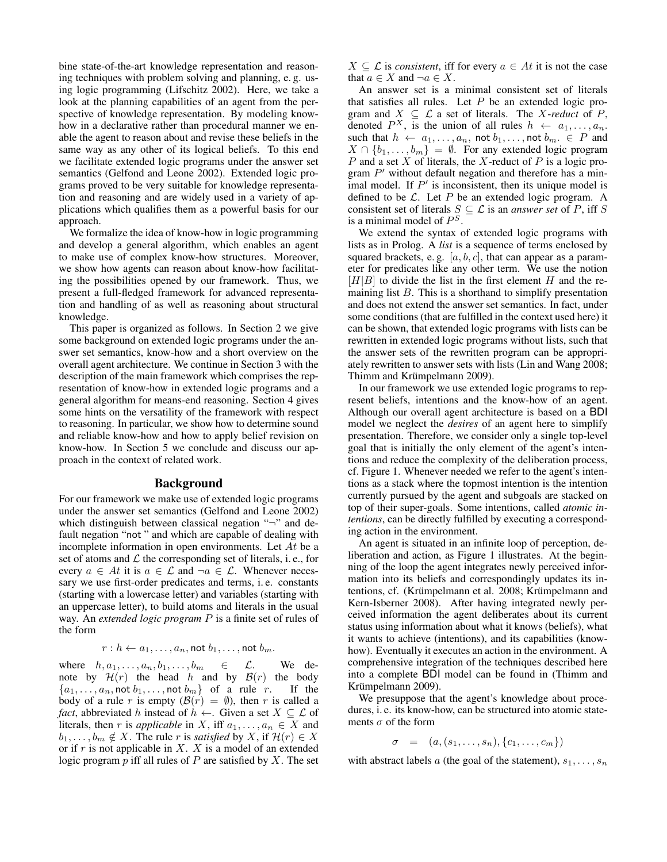bine state-of-the-art knowledge representation and reasoning techniques with problem solving and planning, e. g. using logic programming (Lifschitz 2002). Here, we take a look at the planning capabilities of an agent from the perspective of knowledge representation. By modeling knowhow in a declarative rather than procedural manner we enable the agent to reason about and revise these beliefs in the same way as any other of its logical beliefs. To this end we facilitate extended logic programs under the answer set semantics (Gelfond and Leone 2002). Extended logic programs proved to be very suitable for knowledge representation and reasoning and are widely used in a variety of applications which qualifies them as a powerful basis for our approach.

We formalize the idea of know-how in logic programming and develop a general algorithm, which enables an agent to make use of complex know-how structures. Moreover, we show how agents can reason about know-how facilitating the possibilities opened by our framework. Thus, we present a full-fledged framework for advanced representation and handling of as well as reasoning about structural knowledge.

This paper is organized as follows. In Section 2 we give some background on extended logic programs under the answer set semantics, know-how and a short overview on the overall agent architecture. We continue in Section 3 with the description of the main framework which comprises the representation of know-how in extended logic programs and a general algorithm for means-end reasoning. Section 4 gives some hints on the versatility of the framework with respect to reasoning. In particular, we show how to determine sound and reliable know-how and how to apply belief revision on know-how. In Section 5 we conclude and discuss our approach in the context of related work.

### Background

For our framework we make use of extended logic programs under the answer set semantics (Gelfond and Leone 2002) which distinguish between classical negation "¬" and default negation "not " and which are capable of dealing with incomplete information in open environments. Let  $At$  be a set of atoms and  $\mathcal L$  the corresponding set of literals, i.e., for every  $a \in At$  it is  $a \in \mathcal{L}$  and  $\neg a \in \mathcal{L}$ . Whenever necessary we use first-order predicates and terms, i. e. constants (starting with a lowercase letter) and variables (starting with an uppercase letter), to build atoms and literals in the usual way. An *extended logic program* P is a finite set of rules of the form

$$
r: h \leftarrow a_1, \ldots, a_n, \text{not } b_1, \ldots, \text{not } b_m.
$$

where  $h, a_1, \ldots, a_n, b_1, \ldots, b_m \in \mathcal{L}$ . We denote by  $\mathcal{H}(r)$  the head h and by  $\mathcal{B}(r)$  the body  ${a_1, \ldots, a_n, \text{not } b_1, \ldots, \text{not } b_m}$  of a rule r. If the body of a rule r is empty  $(\mathcal{B}(r) = \emptyset)$ , then r is called a *fact*, abbreviated h instead of  $h \leftarrow$ . Given a set  $X \subseteq \mathcal{L}$  of literals, then r is *applicable* in X, iff  $a_1, \ldots, a_n \in X$  and  $b_1, \ldots, b_m \notin X$ . The rule r is *satisfied* by X, if  $\mathcal{H}(r) \in X$ or if  $r$  is not applicable in  $X$ .  $X$  is a model of an extended logic program  $p$  iff all rules of  $P$  are satisfied by  $X$ . The set  $X \subseteq \mathcal{L}$  is *consistent*, iff for every  $a \in At$  it is not the case that  $a \in X$  and  $\neg a \in X$ .

An answer set is a minimal consistent set of literals that satisfies all rules. Let  $P$  be an extended logic program and  $X \subseteq \mathcal{L}$  a set of literals. The X-reduct of P, denoted  $P^X$ , is the union of all rules  $h \leftarrow a_1, \ldots, a_n$ . such that  $h \leftarrow a_1, \ldots, a_n$ , not  $b_1, \ldots$ , not  $b_m \in P$  and  $X \cap \{b_1, \ldots, b_m\} = \emptyset$ . For any extended logic program  $P$  and a set  $X$  of literals, the  $X$ -reduct of  $P$  is a logic program  $P'$  without default negation and therefore has a minimal model. If  $P'$  is inconsistent, then its unique model is defined to be  $\mathcal{L}$ . Let P be an extended logic program. A consistent set of literals  $S \subseteq \mathcal{L}$  is an *answer set* of P, iff S is a minimal model of  $P<sup>S</sup>$ .

We extend the syntax of extended logic programs with lists as in Prolog. A *list* is a sequence of terms enclosed by squared brackets, e.g.  $[a, b, c]$ , that can appear as a parameter for predicates like any other term. We use the notion  $[H|B]$  to divide the list in the first element H and the remaining list  $B$ . This is a shorthand to simplify presentation and does not extend the answer set semantics. In fact, under some conditions (that are fulfilled in the context used here) it can be shown, that extended logic programs with lists can be rewritten in extended logic programs without lists, such that the answer sets of the rewritten program can be appropriately rewritten to answer sets with lists (Lin and Wang 2008; Thimm and Krümpelmann 2009).

In our framework we use extended logic programs to represent beliefs, intentions and the know-how of an agent. Although our overall agent architecture is based on a BDI model we neglect the *desires* of an agent here to simplify presentation. Therefore, we consider only a single top-level goal that is initially the only element of the agent's intentions and reduce the complexity of the deliberation process, cf. Figure 1. Whenever needed we refer to the agent's intentions as a stack where the topmost intention is the intention currently pursued by the agent and subgoals are stacked on top of their super-goals. Some intentions, called *atomic intentions*, can be directly fulfilled by executing a corresponding action in the environment.

An agent is situated in an infinite loop of perception, deliberation and action, as Figure 1 illustrates. At the beginning of the loop the agent integrates newly perceived information into its beliefs and correspondingly updates its intentions, cf. (Krümpelmann et al. 2008; Krümpelmann and Kern-Isberner 2008). After having integrated newly perceived information the agent deliberates about its current status using information about what it knows (beliefs), what it wants to achieve (intentions), and its capabilities (knowhow). Eventually it executes an action in the environment. A comprehensive integration of the techniques described here into a complete BDI model can be found in (Thimm and Krümpelmann 2009).

We presuppose that the agent's knowledge about procedures, i. e. its know-how, can be structured into atomic statements  $\sigma$  of the form

$$
\sigma = (a, (s_1, \ldots, s_n), \{c_1, \ldots, c_m\})
$$

with abstract labels a (the goal of the statement),  $s_1, \ldots, s_n$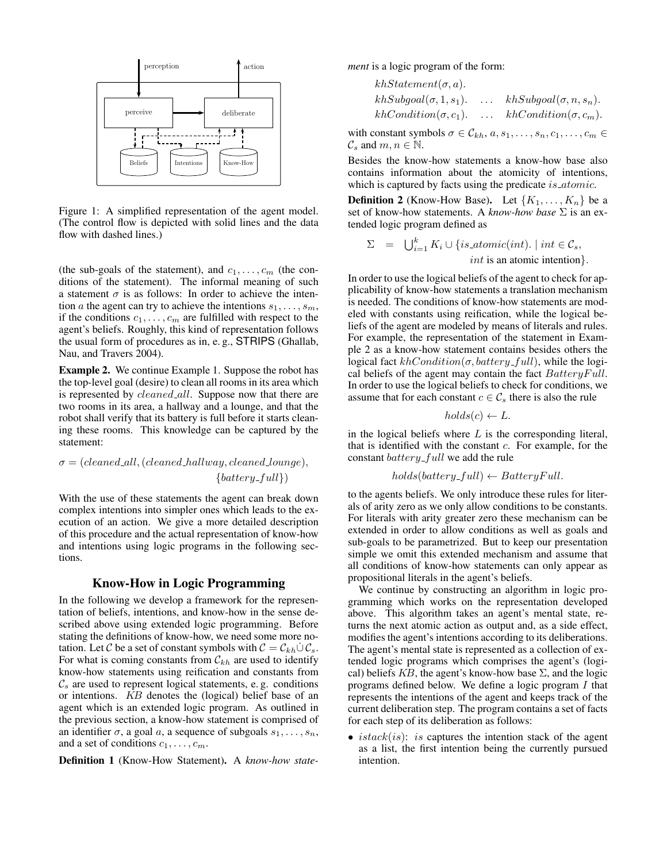

Figure 1: A simplified representation of the agent model. (The control flow is depicted with solid lines and the data flow with dashed lines.)

(the sub-goals of the statement), and  $c_1, \ldots, c_m$  (the conditions of the statement). The informal meaning of such a statement  $\sigma$  is as follows: In order to achieve the intention a the agent can try to achieve the intentions  $s_1, \ldots, s_m$ , if the conditions  $c_1, \ldots, c_m$  are fulfilled with respect to the agent's beliefs. Roughly, this kind of representation follows the usual form of procedures as in, e. g., STRIPS (Ghallab, Nau, and Travers 2004).

is represented by *cleaned\_all*. Suppose now that there are Example 2. We continue Example 1. Suppose the robot has the top-level goal (desire) to clean all rooms in its area which two rooms in its area, a hallway and a lounge, and that the robot shall verify that its battery is full before it starts cleaning these rooms. This knowledge can be captured by the statement:

# $\sigma = (cleaned\_all, (cleaned\_hallway, cleaned\_lounge),$  ${battery_full}$

With the use of these statements the agent can break down complex intentions into simpler ones which leads to the execution of an action. We give a more detailed description of this procedure and the actual representation of know-how and intentions using logic programs in the following sections.

# Know-How in Logic Programming

In the following we develop a framework for the representation of beliefs, intentions, and know-how in the sense described above using extended logic programming. Before stating the definitions of know-how, we need some more notation. Let C be a set of constant symbols with  $C = C_{kh} \dot{\cup} C_s$ . For what is coming constants from  $\mathcal{C}_{kh}$  are used to identify know-how statements using reification and constants from  $\mathcal{C}_s$  are used to represent logical statements, e.g. conditions or intentions. KB denotes the (logical) belief base of an agent which is an extended logic program. As outlined in the previous section, a know-how statement is comprised of an identifier  $\sigma$ , a goal a, a sequence of subgoals  $s_1, \ldots, s_n$ , and a set of conditions  $c_1, \ldots, c_m$ .

Definition 1 (Know-How Statement). A *know-how state-*

*ment* is a logic program of the form:

$$
khStatement(\sigma, a).
$$
  
\n
$$
khSubgoal(\sigma, 1, s_1).
$$
 ... 
$$
khSubgoal(\sigma, n, s_n).
$$
  
\n
$$
khCondition(\sigma, c_1).
$$
 ... 
$$
khCondition(\sigma, c_m).
$$

with constant symbols  $\sigma \in C_{kh}$ ,  $a, s_1, \ldots, s_n, c_1, \ldots, c_m \in$  $\mathcal{C}_s$  and  $m, n \in \mathbb{N}$ .

Besides the know-how statements a know-how base also contains information about the atomicity of intentions, which is captured by facts using the predicate *is\_atomic*.

**Definition 2** (Know-How Base). Let  $\{K_1, \ldots, K_n\}$  be a set of know-how statements. A *know-how base* Σ is an extended logic program defined as

$$
\Sigma = \bigcup_{i=1}^{k} K_i \cup \{is\_atomic(int). \mid int \in C_s,
$$
  
 *int* is an atomic intention.

In order to use the logical beliefs of the agent to check for applicability of know-how statements a translation mechanism is needed. The conditions of know-how statements are modeled with constants using reification, while the logical beliefs of the agent are modeled by means of literals and rules. For example, the representation of the statement in Example 2 as a know-how statement contains besides others the logical fact  $khCondition(\sigma, battery-full)$ , while the logical beliefs of the agent may contain the fact  $Battery Full$ . In order to use the logical beliefs to check for conditions, we assume that for each constant  $c \in \mathcal{C}_s$  there is also the rule

$$
holds(c) \leftarrow L.
$$

in the logical beliefs where  $L$  is the corresponding literal, that is identified with the constant  $c$ . For example, for the constant  $battery$ - $full$  we add the rule

$$
holds(battery\_full) \leftarrow BatteryFull.
$$

to the agents beliefs. We only introduce these rules for literals of arity zero as we only allow conditions to be constants. For literals with arity greater zero these mechanism can be extended in order to allow conditions as well as goals and sub-goals to be parametrized. But to keep our presentation simple we omit this extended mechanism and assume that all conditions of know-how statements can only appear as propositional literals in the agent's beliefs.

We continue by constructing an algorithm in logic programming which works on the representation developed above. This algorithm takes an agent's mental state, returns the next atomic action as output and, as a side effect, modifies the agent's intentions according to its deliberations. The agent's mental state is represented as a collection of extended logic programs which comprises the agent's (logical) beliefs  $KB$ , the agent's know-how base  $\Sigma$ , and the logic programs defined below. We define a logic program I that represents the intentions of the agent and keeps track of the current deliberation step. The program contains a set of facts for each step of its deliberation as follows:

• *istack* $(is)$ : *is* captures the intention stack of the agent as a list, the first intention being the currently pursued intention.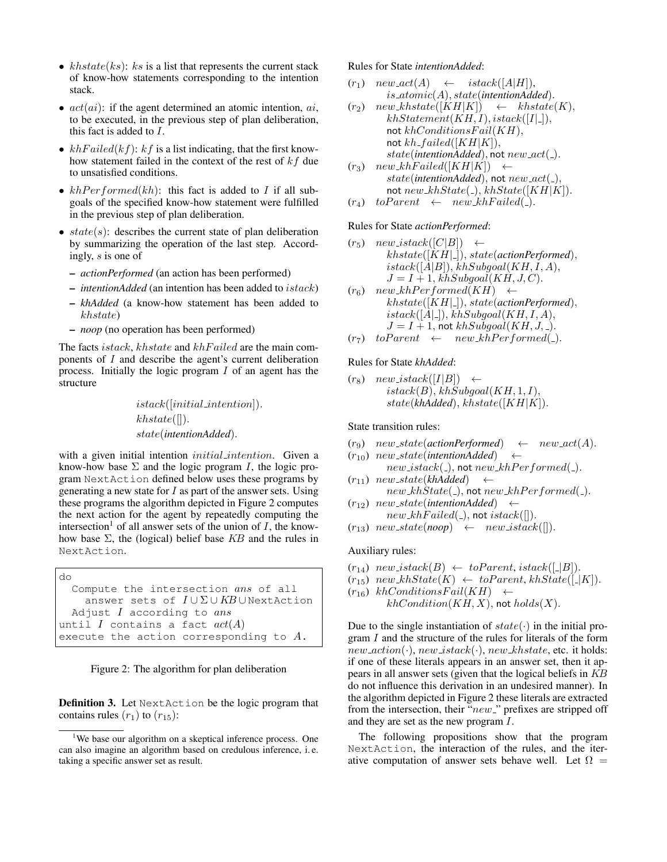- $khstate(ks)$ :  $ks$  is a list that represents the current stack of know-how statements corresponding to the intention stack.
- $act(ai)$ : if the agent determined an atomic intention,  $ai$ , to be executed, in the previous step of plan deliberation, this fact is added to I.
- $khFailed(kf)$ :  $kf$  is a list indicating, that the first knowhow statement failed in the context of the rest of  $kf$  due to unsatisfied conditions.
- $khPerformed(kh)$ : this fact is added to I if all subgoals of the specified know-how statement were fulfilled in the previous step of plan deliberation.
- $state(s)$ : describes the current state of plan deliberation by summarizing the operation of the last step. Accordingly, s is one of
	- *actionPerformed* (an action has been performed)
	- *intentionAdded* (an intention has been added to istack)
	- *khAdded* (a know-how statement has been added to khstate)
	- *noop* (no operation has been performed)

The facts *istack*, *khstate* and *khFailed* are the main components of I and describe the agent's current deliberation process. Initially the logic program I of an agent has the structure

> istack([initial intention]).  $khstate(||).$ state(*intentionAdded*).

with a given initial intention initial intention. Given a know-how base  $\Sigma$  and the logic program I, the logic program NextAction defined below uses these programs by generating a new state for  $I$  as part of the answer sets. Using these programs the algorithm depicted in Figure 2 computes the next action for the agent by repeatedly computing the intersection<sup>1</sup> of all answer sets of the union of  $I$ , the knowhow base  $\Sigma$ , the (logical) belief base KB and the rules in NextAction.

```
do
Compute the intersection ans of all
  answer sets of I \cup \Sigma \cup KB \cup NextAction
Adjust I according to ansuntil I contains a fact act(A)execute the action corresponding to A.
```


**Definition 3.** Let NextAction be the logic program that contains rules  $(r_1)$  to  $(r_{15})$ :

Rules for State *intentionAdded*:

- $(r_1)$  new  $act(A) \leftarrow$  istack([A|H]), is atomic(A), state(*intentionAdded*).
- $(r_2)$  new khstate([KH|K])  $\leftarrow$  khstate(K),  $khStatement(KH, I), istack([I]_-]),$ not  $khConditions>Fail(KH),$ not  $kh\_failed([KH|K]),$ state(*intentionAdded*), not  $new\_act(\_)$ .
- $(r_3)$  new\_khFailed([KH|K])  $\leftarrow$ state(intentionAdded), not  $new\_act($ <sub>-</sub>), not  $new_khState(.), khState([KH|K]).$
- $(r_4)$  to Parent  $\leftarrow$  new khF ailed(.).

#### Rules for State *actionPerformed*:

- $(r_5)$  new istack $([C|B]) \leftarrow$ khstate([KH| ]), state(*actionPerformed*),  $istack([A|B]), khSubgoal(KH, I, A),$  $J = I + 1$ , khSubqoal(KH, J, C).
- $(r_6)$  new\_khPerformed(KH)  $\leftarrow$ khstate([KH| ]), state(*actionPerformed*),  $istack([A \square]), khSubgoal(KH, I, A),$  $J = I + 1$ , not  $khSubgoal(KH, J, ...).$
- $(r_7)$  to Parent  $\leftarrow$  new khP erformed(\_).

Rules for State *khAdded*:

 $(r_8)$  new istack $([I|B]) \leftarrow$  $istack(B), khSubgoal(KH, 1, I),$ state(*khAdded*), khstate([KH|K]).

State transition rules:

- $(r_9)$  new\_state(*actionPerformed*)  $\leftarrow$  new\_act(*A*).
- $(r_{10})$  new\_state(*intentionAdded*)  $\leftarrow$
- $new\_stack( _{\_})$ , not  $new\_khPerformed( _).$  $(r_{11})$  new state(khAdded) ←  $new_k hState(.),$  not  $new_k hPerformed( ).$
- $(r_{12})$  new\_state(*intentionAdded*) ←
- $new\_khFailed(.),$  not  $istack([]).$
- $(r_{13})$  new state(noop)  $\leftarrow$  new istack([]).

#### Auxiliary rules:

- $(r_{14})$  new istack $(B) \leftarrow$  to Parent, istack $([-B])$ .
- $(r_{15})$  new kh $State(K) \leftarrow toParent, khState([-K]).$
- $(r_{16})$  khConditionsFail(KH)  $\leftarrow$

```
khCondition(KH, X), not holds(X).
```
Due to the single instantiation of  $state(\cdot)$  in the initial program I and the structure of the rules for literals of the form  $new\_action(\cdot)$ ,  $new\_istack(\cdot)$ ,  $new\_khstate$ , etc. it holds: if one of these literals appears in an answer set, then it appears in all answer sets (given that the logical beliefs in KB do not influence this derivation in an undesired manner). In the algorithm depicted in Figure 2 these literals are extracted from the intersection, their " $new$ " prefixes are stripped off and they are set as the new program I.

The following propositions show that the program NextAction, the interaction of the rules, and the iterative computation of answer sets behave well. Let  $\Omega =$ 

<sup>&</sup>lt;sup>1</sup>We base our algorithm on a skeptical inference process. One can also imagine an algorithm based on credulous inference, i. e. taking a specific answer set as result.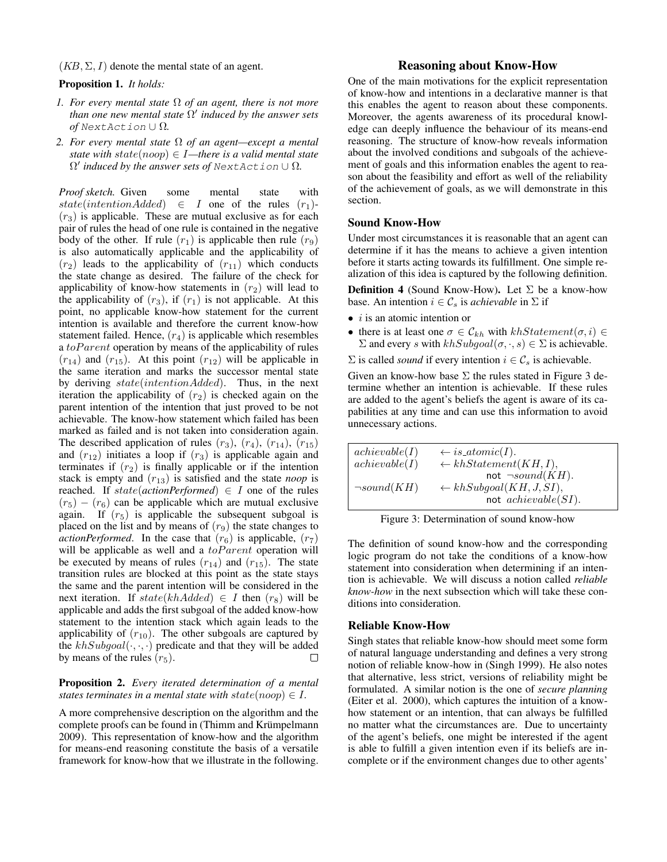#### $(KB, \Sigma, I)$  denote the mental state of an agent.

#### Proposition 1. *It holds:*

- *1. For every mental state* Ω *of an agent, there is not more than one new mental state* Ω 0 *induced by the answer sets of* NextAction ∪ Ω*.*
- *2. For every mental state* Ω *of an agent—except a mental state with state* $(noop) \in I$ —there is a valid mental state Ω 0 *induced by the answer sets of* NextAction ∪ Ω*.*

*Proof sketch.* Given some mental state with state(intentionAdded)  $\in$  I one of the rules  $(r_1)$ - $(r<sub>3</sub>)$  is applicable. These are mutual exclusive as for each pair of rules the head of one rule is contained in the negative body of the other. If rule  $(r_1)$  is applicable then rule  $(r_9)$ is also automatically applicable and the applicability of  $(r_2)$  leads to the applicability of  $(r_{11})$  which conducts the state change as desired. The failure of the check for applicability of know-how statements in  $(r_2)$  will lead to the applicability of  $(r_3)$ , if  $(r_1)$  is not applicable. At this point, no applicable know-how statement for the current intention is available and therefore the current know-how statement failed. Hence,  $(r_4)$  is applicable which resembles a  $toParent$  operation by means of the applicability of rules  $(r_{14})$  and  $(r_{15})$ . At this point  $(r_{12})$  will be applicable in the same iteration and marks the successor mental state by deriving state(intentionAdded). Thus, in the next iteration the applicability of  $(r_2)$  is checked again on the parent intention of the intention that just proved to be not achievable. The know-how statement which failed has been marked as failed and is not taken into consideration again. The described application of rules  $(r_3)$ ,  $(r_4)$ ,  $(r_{14})$ ,  $(r_{15})$ and  $(r_{12})$  initiates a loop if  $(r_3)$  is applicable again and terminates if  $(r_2)$  is finally applicable or if the intention stack is empty and  $(r_{13})$  is satisfied and the state *noop* is reached. If  $state(actionPerformed) \in I$  one of the rules  $(r_5) - (r_6)$  can be applicable which are mutual exclusive again. If  $(r_5)$  is applicable the subsequent subgoal is placed on the list and by means of  $(r_9)$  the state changes to *actionPerformed*. In the case that  $(r_6)$  is applicable,  $(r_7)$ will be applicable as well and a  $to Parent$  operation will be executed by means of rules  $(r_{14})$  and  $(r_{15})$ . The state transition rules are blocked at this point as the state stays the same and the parent intention will be considered in the next iteration. If  $state(khAdded) \in I$  then  $(r_8)$  will be applicable and adds the first subgoal of the added know-how statement to the intention stack which again leads to the applicability of  $(r_{10})$ . The other subgoals are captured by the  $khSubgoal(\cdot, \cdot, \cdot)$  predicate and that they will be added by means of the rules  $(r_5)$ . П

#### Proposition 2. *Every iterated determination of a mental states terminates in a mental state with state* $(noop) \in I$ .

A more comprehensive description on the algorithm and the complete proofs can be found in (Thimm and Krümpelmann 2009). This representation of know-how and the algorithm for means-end reasoning constitute the basis of a versatile framework for know-how that we illustrate in the following.

# Reasoning about Know-How

One of the main motivations for the explicit representation of know-how and intentions in a declarative manner is that this enables the agent to reason about these components. Moreover, the agents awareness of its procedural knowledge can deeply influence the behaviour of its means-end reasoning. The structure of know-how reveals information about the involved conditions and subgoals of the achievement of goals and this information enables the agent to reason about the feasibility and effort as well of the reliability of the achievement of goals, as we will demonstrate in this section.

#### Sound Know-How

Under most circumstances it is reasonable that an agent can determine if it has the means to achieve a given intention before it starts acting towards its fulfillment. One simple realization of this idea is captured by the following definition.

**Definition 4** (Sound Know-How). Let  $\Sigma$  be a know-how base. An intention  $i \in \mathcal{C}_s$  is *achievable* in  $\Sigma$  if

- $\bullet$  *i* is an atomic intention or
- there is at least one  $\sigma \in \mathcal{C}_{kh}$  with  $khStatement(\sigma, i) \in$  $\Sigma$  and every s with  $khSubgoal(\sigma, \cdot, s) \in \Sigma$  is achievable.

 $\Sigma$  is called *sound* if every intention  $i \in \mathcal{C}_s$  is achievable.

Given an know-how base  $\Sigma$  the rules stated in Figure 3 determine whether an intention is achievable. If these rules are added to the agent's beliefs the agent is aware of its capabilities at any time and can use this information to avoid unnecessary actions.

| achievable(I)    | $\leftarrow$ is_atomic(I).         |
|------------------|------------------------------------|
| achievable(I)    | $\leftarrow khStatement(KH, I),$   |
|                  | not $\neg sound(KH)$ .             |
| $\neg sound(KH)$ | $\leftarrow khSubgoal(KH, J, SI),$ |
|                  | not $achievable(SI)$ .             |

The definition of sound know-how and the corresponding logic program do not take the conditions of a know-how statement into consideration when determining if an intention is achievable. We will discuss a notion called *reliable know-how* in the next subsection which will take these conditions into consideration.

#### Reliable Know-How

Singh states that reliable know-how should meet some form of natural language understanding and defines a very strong notion of reliable know-how in (Singh 1999). He also notes that alternative, less strict, versions of reliability might be formulated. A similar notion is the one of *secure planning* (Eiter et al. 2000), which captures the intuition of a knowhow statement or an intention, that can always be fulfilled no matter what the circumstances are. Due to uncertainty of the agent's beliefs, one might be interested if the agent is able to fulfill a given intention even if its beliefs are incomplete or if the environment changes due to other agents'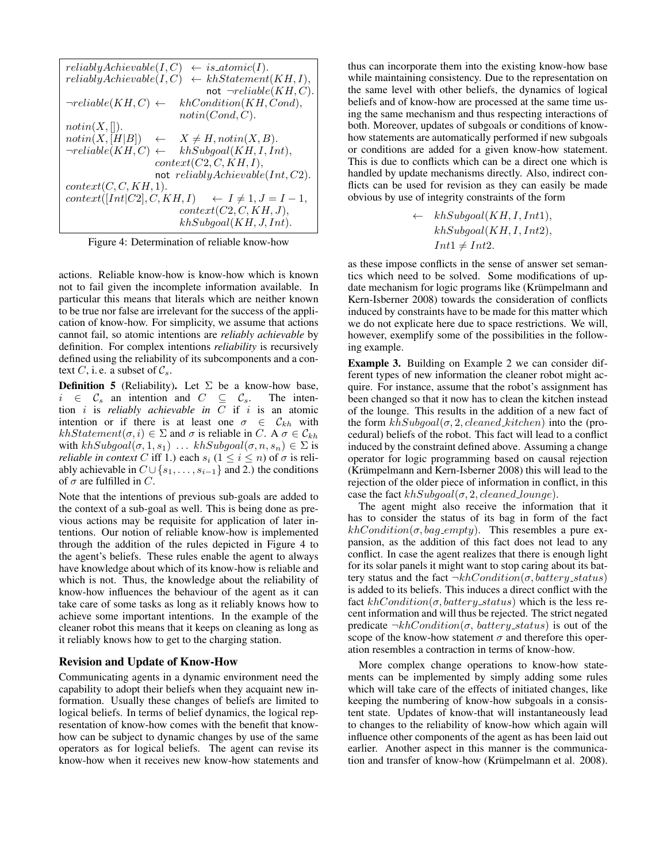| reliably Achievable (I, C)<br>$\leftarrow$ is_atomic(I).         |  |
|------------------------------------------------------------------|--|
| $\leftarrow khStatement(KH, I),$<br>reliably Achievable (I, C)   |  |
| not $\neg reliable(KH,C)$ .                                      |  |
| $\neg reliable(KH,C) \leftarrow$<br>khCondition(KH, Cond),       |  |
| notin(Cond, C).                                                  |  |
| notin(X, []).                                                    |  |
| notin(X, [H B])<br>$\leftarrow X \neq H, \text{notin}(X, B).$    |  |
| $\neg reliable(KH,C) \leftarrow khSubgoal(KH, I, Int),$          |  |
| context(C2, C, KH, I),                                           |  |
| not reliably $Achievable(Int, C2)$ .                             |  |
| context(C, C, KH, 1).                                            |  |
| context([Int C2], C, KH, I)<br>$\leftarrow I \neq 1, J = I - 1,$ |  |
| context(C2, C, KH, J),                                           |  |
| khSubgoal(KH, J, Int).                                           |  |

Figure 4: Determination of reliable know-how

actions. Reliable know-how is know-how which is known not to fail given the incomplete information available. In particular this means that literals which are neither known to be true nor false are irrelevant for the success of the application of know-how. For simplicity, we assume that actions cannot fail, so atomic intentions are *reliably achievable* by definition. For complex intentions *reliability* is recursively defined using the reliability of its subcomponents and a context C, i. e. a subset of  $\mathcal{C}_s$ .

**Definition 5** (Reliability). Let  $\Sigma$  be a know-how base,  $i \in \mathcal{C}_s$  an intention and  $C \subseteq \mathcal{C}_s$ . The intention i is *reliably achievable in* C if i is an atomic intention or if there is at least one  $\sigma \in C_{kh}$  with  $khStatement(\sigma, i) \in \Sigma$  and  $\sigma$  is reliable in C. A  $\sigma \in \mathcal{C}_{kh}$ with  $khSubgoal(\sigma, 1, s_1) \dots khSubgoal(\sigma, n, s_n) \in \Sigma$  is *reliable in context* C iff 1.) each  $s_i$  ( $1 \le i \le n$ ) of  $\sigma$  is reliably achievable in  $C \cup \{s_1, \ldots, s_{i-1}\}\$  and 2.) the conditions of  $\sigma$  are fulfilled in C.

Note that the intentions of previous sub-goals are added to the context of a sub-goal as well. This is being done as previous actions may be requisite for application of later intentions. Our notion of reliable know-how is implemented through the addition of the rules depicted in Figure 4 to the agent's beliefs. These rules enable the agent to always have knowledge about which of its know-how is reliable and which is not. Thus, the knowledge about the reliability of know-how influences the behaviour of the agent as it can take care of some tasks as long as it reliably knows how to achieve some important intentions. In the example of the cleaner robot this means that it keeps on cleaning as long as it reliably knows how to get to the charging station.

# Revision and Update of Know-How

Communicating agents in a dynamic environment need the capability to adopt their beliefs when they acquaint new information. Usually these changes of beliefs are limited to logical beliefs. In terms of belief dynamics, the logical representation of know-how comes with the benefit that knowhow can be subject to dynamic changes by use of the same operators as for logical beliefs. The agent can revise its know-how when it receives new know-how statements and

thus can incorporate them into the existing know-how base while maintaining consistency. Due to the representation on the same level with other beliefs, the dynamics of logical beliefs and of know-how are processed at the same time using the same mechanism and thus respecting interactions of both. Moreover, updates of subgoals or conditions of knowhow statements are automatically performed if new subgoals or conditions are added for a given know-how statement. This is due to conflicts which can be a direct one which is handled by update mechanisms directly. Also, indirect conflicts can be used for revision as they can easily be made obvious by use of integrity constraints of the form

$$
\leftarrow \ khSubgoal(KH, I, Int1),khSubgoal(KH, I, Int2),Int1 \neq Int2.
$$

as these impose conflicts in the sense of answer set semantics which need to be solved. Some modifications of update mechanism for logic programs like (Krümpelmann and Kern-Isberner 2008) towards the consideration of conflicts induced by constraints have to be made for this matter which we do not explicate here due to space restrictions. We will, however, exemplify some of the possibilities in the following example.

Example 3. Building on Example 2 we can consider different types of new information the cleaner robot might acquire. For instance, assume that the robot's assignment has been changed so that it now has to clean the kitchen instead of the lounge. This results in the addition of a new fact of the form  $khSubgoal(\sigma, 2, cleaned\_kitchen)$  into the (procedural) beliefs of the robot. This fact will lead to a conflict induced by the constraint defined above. Assuming a change operator for logic programming based on causal rejection (Krümpelmann and Kern-Isberner 2008) this will lead to the rejection of the older piece of information in conflict, in this case the fact  $khSubgoal(\sigma, 2, cleaned\_lounge)$ .

The agent might also receive the information that it has to consider the status of its bag in form of the fact  $khCondition(\sigma, bag\_empty)$ . This resembles a pure expansion, as the addition of this fact does not lead to any conflict. In case the agent realizes that there is enough light for its solar panels it might want to stop caring about its battery status and the fact  $\neg khCondition(\sigma, battery\_status)$ is added to its beliefs. This induces a direct conflict with the fact  $khCondition(\sigma, battery\_status)$  which is the less recent information and will thus be rejected. The strict negated predicate  $\neg khCondition(\sigma, battery\_status)$  is out of the scope of the know-how statement  $\sigma$  and therefore this operation resembles a contraction in terms of know-how.

More complex change operations to know-how statements can be implemented by simply adding some rules which will take care of the effects of initiated changes, like keeping the numbering of know-how subgoals in a consistent state. Updates of know-that will instantaneously lead to changes to the reliability of know-how which again will influence other components of the agent as has been laid out earlier. Another aspect in this manner is the communication and transfer of know-how (Krümpelmann et al. 2008).